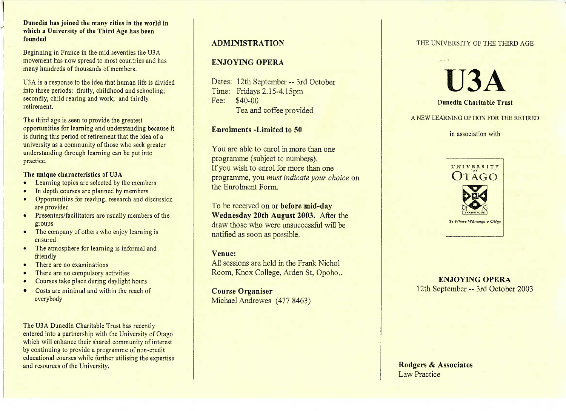#### **Dunedin has joined the many cities in the world inwhich a University of the Third Age has beenfounded**

Beginning in France in the mid seventies the USA movement has now spread to most countries and hasmany hundreds of thousands of members.

USA is a response to the idea that human life is dividedinto three periods: firstly, childhood and schooling;secondly, child rearing and work; and thirdlyretirement.

The third age is seen to provide the greatest opportunities for learning and understanding because itis during this period of retirement that the idea of a university as a community of those who seek greaterunderstanding through learning can be put intopractice.

#### **The unique characteristics of U3A**

- Learning topics are selected by the members
- In depth courses are planned by members
- Opportunities for reading, research and discussionare provided
- Presenters/facilitators are usually members of thegroups
- The company of others who enjoy learning isensured
- The atmosphere for learning is informal andfriendly
- There are no examinations
- There are no compulsory activities
- Courses take place during daylight hours
- Costs are minimal and within the reach of everybody

The U3A Dunedin Charitable Trust has recently entered into a partnership with the University of Otago which will enhance their shared community of interestby continuing to provide a programme of non-credit educational courses while further utilising the expertiseand resources of the University.

## **ADMINISTRATION**

## **ENJOYING OPERA**

Dates: 12th September--3rd OctoberTime: Fridays 2.15-4.15pmFee: \$40-00Tea and coffee provided

### **Enrolments -Limited to 50**

You are able to enrol in more than oneprogramme (subject to numbers). If you wish to enrol for more than one programme, you *must indicate your choice* onthe Enrolment Form.

To be received on or **before mid-day Wednesday 20th August 2003.** After the draw those who were unsuccessful will benotified as soon as possible.

#### **Venue:**

 All sessions are held in the Frank NicholRoom, Knox College, Arden St, Opoho..

**Course Organiser**Michael Andrewes (477 8463)

#### THE UNIVERSITY OF THE THIRD AGE



A NEW LEARNING OPTION FOR THE RETIRED

in association with



*Te Wftare Wilnanga o Ottgo*

**ENJOYING OPERA**12th September - 3rd October 2003

**Rodgers** *&* **Associates**Law Practice